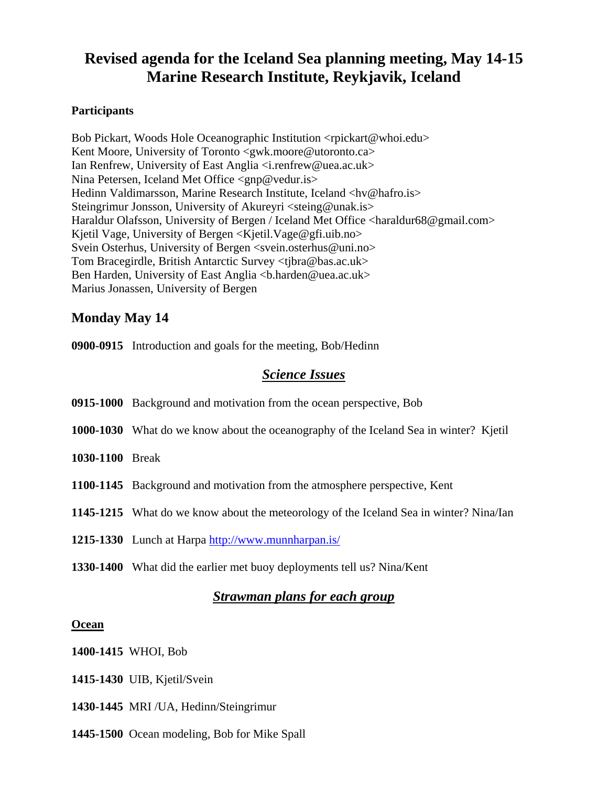# **Revised agenda for the Iceland Sea planning meeting, May 14-15 Marine Research Institute, Reykjavik, Iceland**

#### **Participants**

Bob Pickart, Woods Hole Oceanographic Institution <rpickart@whoi.edu> Kent Moore, University of Toronto <gwk.moore@utoronto.ca> Ian Renfrew, University of East Anglia <i.renfrew@uea.ac.uk> Nina Petersen, Iceland Met Office <gnp@vedur.is> Hedinn Valdimarsson, Marine Research Institute, Iceland <hv@hafro.is> Steingrimur Jonsson, University of Akureyri <steing@unak.is> Haraldur Olafsson, University of Bergen / Iceland Met Office <haraldur68@gmail.com> Kjetil Vage, University of Bergen <Kjetil.Vage@gfi.uib.no> Svein Osterhus, University of Bergen <svein.osterhus@uni.no> Tom Bracegirdle, British Antarctic Survey <tjbra@bas.ac.uk> Ben Harden, University of East Anglia <br/>b.harden@uea.ac.uk> Marius Jonassen, University of Bergen

## **Monday May 14**

**0900-0915** Introduction and goals for the meeting, Bob/Hedinn

## *Science Issues*

|                        | 0915-1000 Background and motivation from the ocean perspective, Bob                          |
|------------------------|----------------------------------------------------------------------------------------------|
|                        | <b>1000-1030</b> What do we know about the oceanography of the Iceland Sea in winter? Kjetil |
| <b>1030-1100</b> Break |                                                                                              |
|                        | 1100-1145 Background and motivation from the atmosphere perspective, Kent                    |
|                        | 1145-1215 What do we know about the meteorology of the Iceland Sea in winter? Nina/Ian       |
|                        | 1215-1330 Lunch at Harpa http://www.munnharpan.is/                                           |

**1330-1400** What did the earlier met buoy deployments tell us? Nina/Kent

## *Strawman plans for each group*

#### **Ocean**

**1400-1415** WHOI, Bob

**1415-1430** UIB, Kjetil/Svein

**1430-1445** MRI /UA, Hedinn/Steingrimur

**1445-1500** Ocean modeling, Bob for Mike Spall